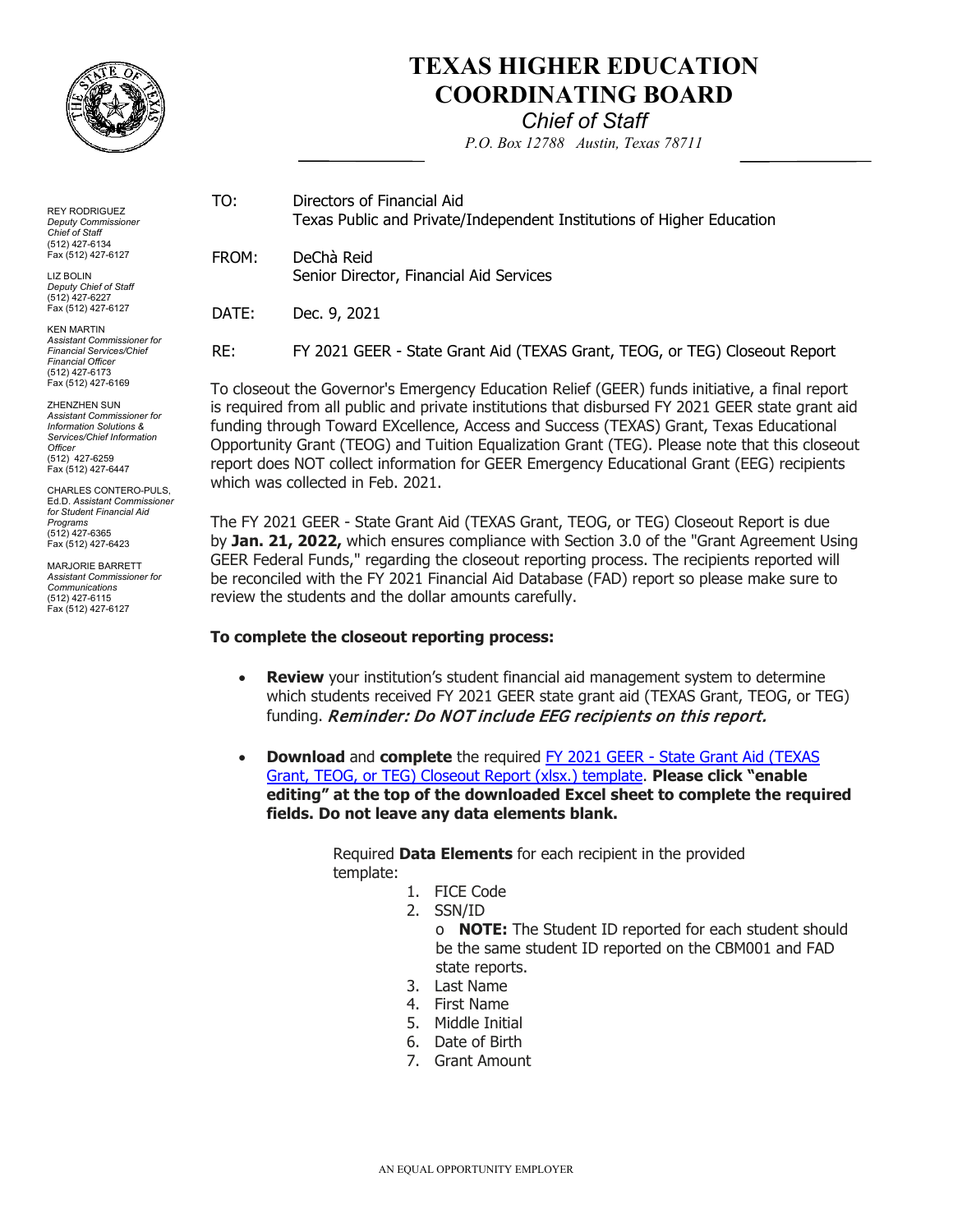

## **TEXAS HIGHER EDUCATION COORDINATING BOARD**

## *Chief of Staff*

 *P.O. Box 12788 Austin, Texas 78711* 

| TO:                                                                                                                                                                                                                                                                                                                                                                                                                                                                                       | Directors of Financial Aid<br>Texas Public and Private/Independent Institutions of Higher Education |
|-------------------------------------------------------------------------------------------------------------------------------------------------------------------------------------------------------------------------------------------------------------------------------------------------------------------------------------------------------------------------------------------------------------------------------------------------------------------------------------------|-----------------------------------------------------------------------------------------------------|
| FROM:                                                                                                                                                                                                                                                                                                                                                                                                                                                                                     | DeChà Reid<br>Senior Director, Financial Aid Services                                               |
| DATE:                                                                                                                                                                                                                                                                                                                                                                                                                                                                                     | Dec. 9, 2021                                                                                        |
| RE:                                                                                                                                                                                                                                                                                                                                                                                                                                                                                       | FY 2021 GEER - State Grant Aid (TEXAS Grant, TEOG, or TEG) Closeout Report                          |
| To closeout the Governor's Emergency Education Relief (GEER) funds initiative, a final report<br>is required from all public and private institutions that disbursed FY 2021 GEER state grant aid<br>funding through Toward EXcellence, Access and Success (TEXAS) Grant, Texas Educational<br>Opportunity Grant (TEOG) and Tuition Equalization Grant (TEG). Please note that this closeout<br>report does NOT collect information for GEER Emergency Educational Grant (EEG) recipients |                                                                                                     |

 which was collected in Feb. 2021. The FY 2021 GEER - State Grant Aid (TEXAS Grant, TEOG, or TEG) Closeout Report is due  by **Jan. 21, 2022,** which ensures compliance with Section 3.0 of the "Grant Agreement Using GEER Federal Funds," regarding the closeout reporting process. The recipients reported will be reconciled with the FY 2021 Financial Aid Database (FAD) report so please make sure to

## **To complete the closeout reporting process:**

review the students and the dollar amounts carefully.

- • **Review** your institution's student financial aid management system to determine which students received FY 2021 GEER state grant aid (TEXAS Grant, TEOG, or TEG) funding. Reminder: Do NOT include EEG recipients on this report.
- • **Download** and **complete** the required FY 2021 GEER [State Grant Aid \(TEXAS](https://reportcenter.highered.texas.gov/agency-publication/blank-forms-templates/geer-fy-2021-state-grant-aid-closeout-report/)  [Grant, TEOG, or TEG\) Closeout Report \(xlsx.\) template.](https://reportcenter.highered.texas.gov/agency-publication/blank-forms-templates/geer-fy-2021-state-grant-aid-closeout-report/) **Please click "enable editing" at the top of the downloaded Excel sheet to complete the required fields. Do not leave any data elements blank.**

 Required **Data Elements** for each recipient in the provided template:

- 1. FICE Code
- 2. SSN/ID

 o **NOTE:** The Student ID reported for each student should be the same student ID reported on the CBM001 and FAD state reports.

- 3. Last Name
- 4. First Name
- 5. Middle Initial
- 6. Date of Birth
- 7. Grant Amount

REY RODRIGUEZ *Deputy Commissioner Chief of Staff*  (512) 427-6134 Fax (512) 427-6127

LIZ BOLIN *Deputy Chief of Staff*  (512) 427-6227 Fax (512) 427-6127

KEN MARTIN *Assistant Commissioner for Financial Services/Chief Financial Officer*  (512) 427-6173 Fax (512) 427-6169

ZHENZHEN SUN *Assistant Commissioner for Information Solutions & Services/Chief Information Officer*  (512) 427-6259 Fax (512) 427-6447

 Ed.D. *Assistant Commissioner*  CHARLES CONTERO-PULS, *for Student Financial Aid Programs*  (512) 427-6365 Fax (512) 427-6423

MARJORIE BARRETT *Assistant Commissioner for Communications*  (512) 427-6115 Fax (512) 427-6127